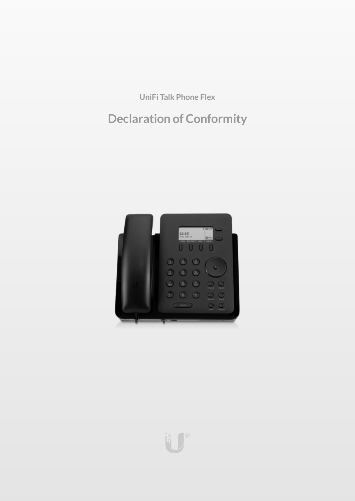**UniFi Talk Phone Flex**

# **Declaration of Conformity**



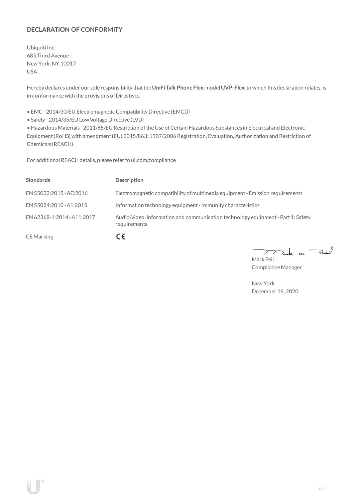## **DECLARATION OF CONFORMITY**

Ubiquiti Inc. 685 Third Avenue NewYork, NY 10017 USA

Hereby declares under our sole responsibility thatthe**UniFiTalk PhoneFlex**, model **UVP-Flex**, to which this declaration relates, is in conformancewith the provisions of Directives

• EMC- 2014/30/EU Electromagnetic Compatibility Directive (EMCD)

• Safety - 2014/35/EU Low Voltage Directive (LVD)

• HazardousMaterials - 2011/65/EU Restriction oftheUse ofCertain Hazardous Substances in Electrical and Electronic Equipment(RoHS) with amendment(EU) 2015/863; 1907/2006 Registration, Evaluation, Authorization and Restriction of Chemicals (REACH)

For additional REACH details, please refer to [ui.com/compliance](https://www.ui.com/compliance/)

| <b>Standards</b>         | <b>Description</b>                                                                               |
|--------------------------|--------------------------------------------------------------------------------------------------|
| EN 55032:2015+AC:2016    | Electromagnetic compatibility of multimedia equipment - Emission requirements                    |
| EN 55024:2010+A1:2015    | Information technology equipment - Immunity characteristics                                      |
| EN 62368-1:2014+A11:2017 | Audio/video, information and communication technology equipment - Part 1: Safety<br>requirements |
| <b>CE</b> Marking        | CΕ                                                                                               |

 $k$  un  $\rightarrow$  $\overline{\phantom{a}}$  $\mathcal{L}$ Mark Feil

Compliance Manager

NewYork December 16, 2020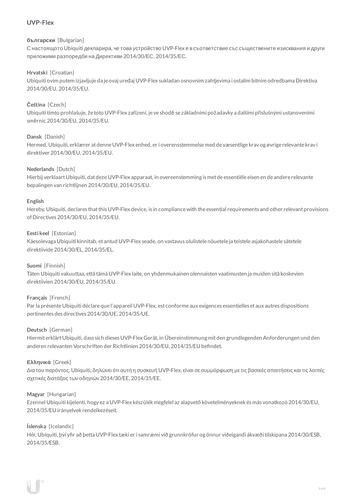# **UVP-Flex**

#### **български** [Bulgarian]

С настоящото Ubiquiti декларира, че това устройство UVP-Flex е в съответствие със съществените изисквания и други приложими разпоредби на Директиви 2014/30/ЕС, 2014/35/ЕС.

## **Hrvatski** [Croatian]

Ubiquiti ovim putem izjavljuje da je ovaj uređaj UVP-Flex sukladan osnovnim zahtjevima i ostalim bitnim odredbama Direktiva 2014/30/EU, 2014/35/EU.

## **Čeština** [Czech]

Ubiquititímto prohlašuje, že toto UVP-Flex zařízení, je ve shodě se základními požadavky a dalšími příslušnými ustanoveními směrnic 2014/30/EU, 2014/35/EU.

#### **Dansk** [Danish]

Hermed, Ubiquiti, erklærer atdenneUVP-Flex enhed, er i overensstemmelse med de væsentlige krav og øvrige relevante krav i direktiver 2014/30/EU, 2014/35/EU.

#### **Nederlands** [Dutch]

Hierbij verklaartUbiquiti, datdezeUVP-Flex apparaat, in overeenstemming is metde essentiële eisen en de andere relevante bepalingen van richtlijnen 2014/30/EU, 2014/35/EU.

#### **English**

Hereby, Ubiquiti, declares that this UVP-Flex device, is in compliance with the essential requirements and other relevant provisions of Directives 2014/30/EU, 2014/35/EU.

#### **Eesti keel** [Estonian]

Käesolevaga Ubiquiti kinnitab, et antud UVP-Flex seade, on vastavus olulistele nõuetele ja teistele asjakohastele sätetele direktiivide2014/30/EL, 2014/35/EL.

#### **Suomi** [Finnish]

Täten Ubiquiti vakuuttaa, että tämä UVP-Flex laite, on yhdenmukainen olennaisten vaatimusten ja muiden sitä koskevien direktiivien 2014/30/EU, 2014/35/EU.

#### **Français** [French]

Par la présente Ubiquiti déclare que l'appareil UVP-Flex, est conforme aux exigences essentielles et aux autres dispositions pertinentes des directives 2014/30/UE, 2014/35/UE.

#### **Deutsch** [German]

HiermiterklärtUbiquiti, dass sich dieses UVP-Flex Gerät, in Übereinstimmung mitden grundlegenden Anforderungen und den anderen relevanten Vorschriften der Richtlinien 2014/30/EU, 2014/35/EU befindet.

#### **Ελληνικά** [Greek]

Δια του παρόντος, Ubiquiti, δηλώνει ότι αυτή η συσκευή UVP-Flex, είναι σεσυµµόρφωση µε τις βασικές απαιτήσεις καιτις λοιπές σχετικές διατάξεις των οδηγιών 2014/30/EE, 2014/35/EE.

#### **Magyar** [Hungarian]

Ezennel Ubiquiti kijelenti, hogy ez a UVP-Flex készülék megfelel az alapvető követelményeknek és más vonatkozó 2014/30/EU, 2014/35/EU irányelvek rendelkezéseit.

#### **Íslenska** [Icelandic]

Hér, Ubiquiti, því yfir að þetta UVP-Flex tæki er í samræmi við grunnkröfur og önnur viðeigandi ákvæði tilskipana 2014/30/ESB, 2014/35/ESB.